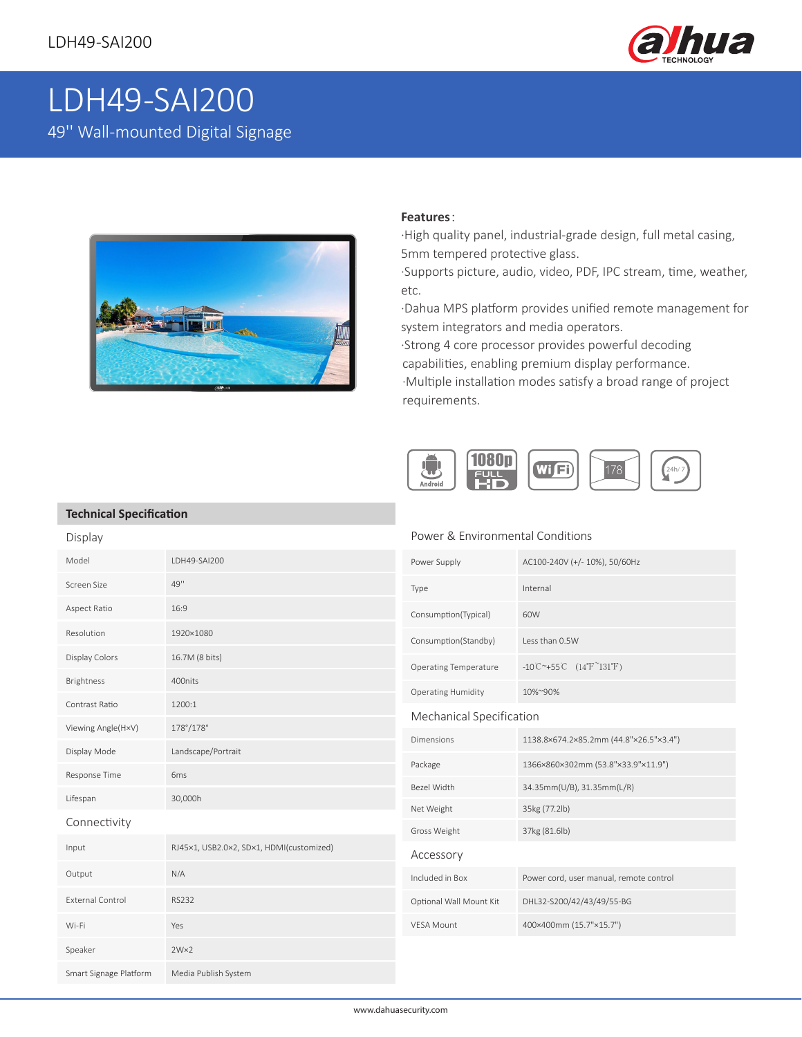

# LDH49-SAI200 49'' Wall-mounted Digital Signage



#### **Features**:

·High quality panel, industrial-grade design, full metal casing, 5mm tempered protective glass.

·Supports picture, audio, video, PDF, IPC stream, time, weather, etc.

·Dahua MPS platform provides unified remote management for system integrators and media operators.

·Strong 4 core processor provides powerful decoding capabilities, enabling premium display performance. ·Multiple installation modes satisfy a broad range of project requirements.



### **Technical Specification**

Display

#### Power & Environmental Conditions

| Model                   | LDH49-SAI200                             | Power Supply                 | AC100-240V (+/-10%), 50/60Hz                 |
|-------------------------|------------------------------------------|------------------------------|----------------------------------------------|
| Screen Size             | 49''                                     | Type                         | Internal                                     |
| Aspect Ratio            | 16:9                                     | Consumption(Typical)         | 60W                                          |
| Resolution              | 1920×1080                                | Consumption(Standby)         | Less than 0.5W                               |
| Display Colors          | 16.7M (8 bits)                           | <b>Operating Temperature</b> | -10°C $^{\sim}$ +55°C (14°F $^{\sim}$ 131°F) |
| Brightness              | 400nits                                  | <b>Operating Humidity</b>    | 10%~90%                                      |
| Contrast Ratio          | 1200:1                                   | Mechanical Specification     |                                              |
| Viewing Angle(H×V)      | $178^{\circ}/178^{\circ}$                | Dimensions                   | 1138.8×674.2×85.2mm (44.8"×26.5"×3.4")       |
| Display Mode            | Landscape/Portrait                       |                              |                                              |
| Response Time           | 6 <sub>ms</sub>                          | Package                      | 1366×860×302mm (53.8"×33.9"×11.9")           |
| Lifespan                | 30,000h                                  | Bezel Width                  | 34.35mm(U/B), 31.35mm(L/R)                   |
| Connectivity            |                                          | Net Weight                   | 35kg (77.2lb)                                |
|                         |                                          | Gross Weight                 | 37kg (81.6lb)                                |
| Input                   | RJ45×1, USB2.0×2, SD×1, HDMI(customized) | Accessory                    |                                              |
| Output                  | N/A                                      | Included in Box              | Power cord, user manual, remote control      |
| <b>External Control</b> | <b>RS232</b>                             | Optional Wall Mount Kit      | DHL32-S200/42/43/49/55-BG                    |
| Wi-Fi                   | Yes                                      | <b>VESA Mount</b>            | 400×400mm (15.7"×15.7")                      |
| Speaker                 | $2W\times2$                              |                              |                                              |
| Smart Signage Platform  | Media Publish System                     |                              |                                              |